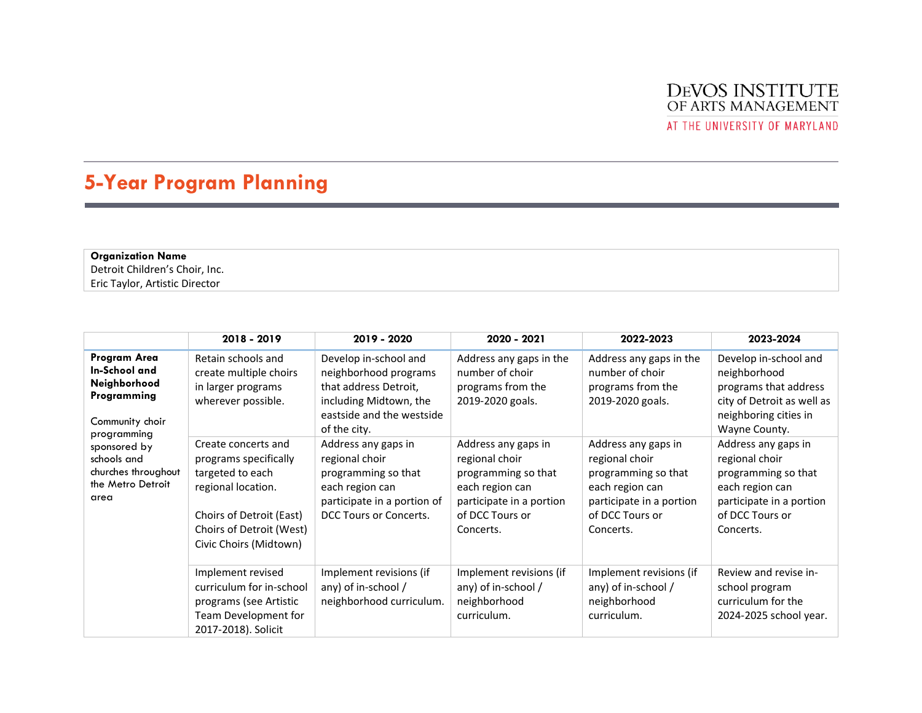

AT THE UNIVERSITY OF MARYLAND

## **5-Year Program Planning**

**Organization Name** Detroit Children's Choir, Inc. Eric Taylor, Artistic Director

|                                                                                                                                                                                   | 2018 - 2019                                                                                                                                                              | 2019 - 2020                                                                                                                                    | 2020 - 2021                                                                                                                                 | 2022-2023                                                                                                                                   | 2023-2024                                                                                                                                   |
|-----------------------------------------------------------------------------------------------------------------------------------------------------------------------------------|--------------------------------------------------------------------------------------------------------------------------------------------------------------------------|------------------------------------------------------------------------------------------------------------------------------------------------|---------------------------------------------------------------------------------------------------------------------------------------------|---------------------------------------------------------------------------------------------------------------------------------------------|---------------------------------------------------------------------------------------------------------------------------------------------|
| Program Area<br>In-School and<br>Neighborhood<br>Programming<br>Community choir<br>programming<br>sponsored by<br>schools and<br>churches throughout<br>the Metro Detroit<br>area | Retain schools and<br>create multiple choirs<br>in larger programs<br>wherever possible.                                                                                 | Develop in-school and<br>neighborhood programs<br>that address Detroit,<br>including Midtown, the<br>eastside and the westside<br>of the city. | Address any gaps in the<br>number of choir<br>programs from the<br>2019-2020 goals.                                                         | Address any gaps in the<br>number of choir<br>programs from the<br>2019-2020 goals.                                                         | Develop in-school and<br>neighborhood<br>programs that address<br>city of Detroit as well as<br>neighboring cities in<br>Wayne County.      |
|                                                                                                                                                                                   | Create concerts and<br>programs specifically<br>targeted to each<br>regional location.<br>Choirs of Detroit (East)<br>Choirs of Detroit (West)<br>Civic Choirs (Midtown) | Address any gaps in<br>regional choir<br>programming so that<br>each region can<br>participate in a portion of<br>DCC Tours or Concerts.       | Address any gaps in<br>regional choir<br>programming so that<br>each region can<br>participate in a portion<br>of DCC Tours or<br>Concerts. | Address any gaps in<br>regional choir<br>programming so that<br>each region can<br>participate in a portion<br>of DCC Tours or<br>Concerts. | Address any gaps in<br>regional choir<br>programming so that<br>each region can<br>participate in a portion<br>of DCC Tours or<br>Concerts. |
|                                                                                                                                                                                   | Implement revised<br>curriculum for in-school<br>programs (see Artistic<br>Team Development for<br>2017-2018). Solicit                                                   | Implement revisions (if<br>any) of in-school /<br>neighborhood curriculum.                                                                     | Implement revisions (if<br>any) of in-school /<br>neighborhood<br>curriculum.                                                               | Implement revisions (if<br>any) of in-school /<br>neighborhood<br>curriculum.                                                               | Review and revise in-<br>school program<br>curriculum for the<br>2024-2025 school year.                                                     |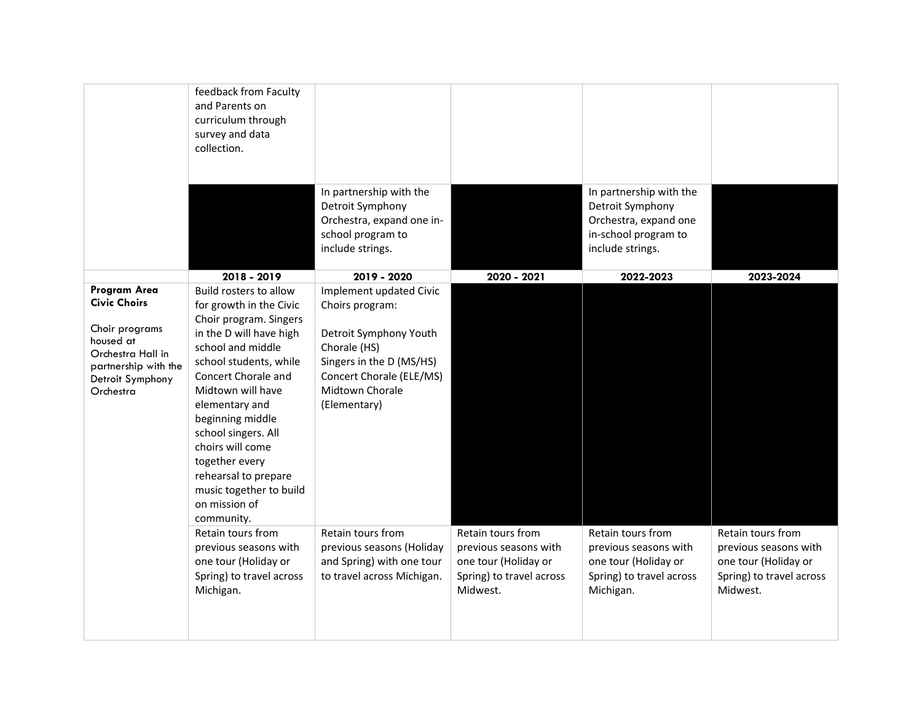|                                                                                                                                                  | feedback from Faculty<br>and Parents on<br>curriculum through<br>survey and data<br>collection.                                                                                                                                                                                                                                                                                        |                                                                                                                                                                                 |                                                                                                            |                                                                                                                  |                                                                                                            |
|--------------------------------------------------------------------------------------------------------------------------------------------------|----------------------------------------------------------------------------------------------------------------------------------------------------------------------------------------------------------------------------------------------------------------------------------------------------------------------------------------------------------------------------------------|---------------------------------------------------------------------------------------------------------------------------------------------------------------------------------|------------------------------------------------------------------------------------------------------------|------------------------------------------------------------------------------------------------------------------|------------------------------------------------------------------------------------------------------------|
|                                                                                                                                                  |                                                                                                                                                                                                                                                                                                                                                                                        | In partnership with the<br>Detroit Symphony<br>Orchestra, expand one in-<br>school program to<br>include strings.                                                               |                                                                                                            | In partnership with the<br>Detroit Symphony<br>Orchestra, expand one<br>in-school program to<br>include strings. |                                                                                                            |
|                                                                                                                                                  | 2018 - 2019                                                                                                                                                                                                                                                                                                                                                                            | 2019 - 2020                                                                                                                                                                     | 2020 - 2021                                                                                                | 2022-2023                                                                                                        | 2023-2024                                                                                                  |
| Program Area<br><b>Civic Choirs</b><br>Choir programs<br>housed at<br>Orchestra Hall in<br>partnership with the<br>Detroit Symphony<br>Orchestra | Build rosters to allow<br>for growth in the Civic<br>Choir program. Singers<br>in the D will have high<br>school and middle<br>school students, while<br>Concert Chorale and<br>Midtown will have<br>elementary and<br>beginning middle<br>school singers. All<br>choirs will come<br>together every<br>rehearsal to prepare<br>music together to build<br>on mission of<br>community. | Implement updated Civic<br>Choirs program:<br>Detroit Symphony Youth<br>Chorale (HS)<br>Singers in the D (MS/HS)<br>Concert Chorale (ELE/MS)<br>Midtown Chorale<br>(Elementary) |                                                                                                            |                                                                                                                  |                                                                                                            |
|                                                                                                                                                  | Retain tours from<br>previous seasons with<br>one tour (Holiday or<br>Spring) to travel across<br>Michigan.                                                                                                                                                                                                                                                                            | Retain tours from<br>previous seasons (Holiday<br>and Spring) with one tour<br>to travel across Michigan.                                                                       | Retain tours from<br>previous seasons with<br>one tour (Holiday or<br>Spring) to travel across<br>Midwest. | Retain tours from<br>previous seasons with<br>one tour (Holiday or<br>Spring) to travel across<br>Michigan.      | Retain tours from<br>previous seasons with<br>one tour (Holiday or<br>Spring) to travel across<br>Midwest. |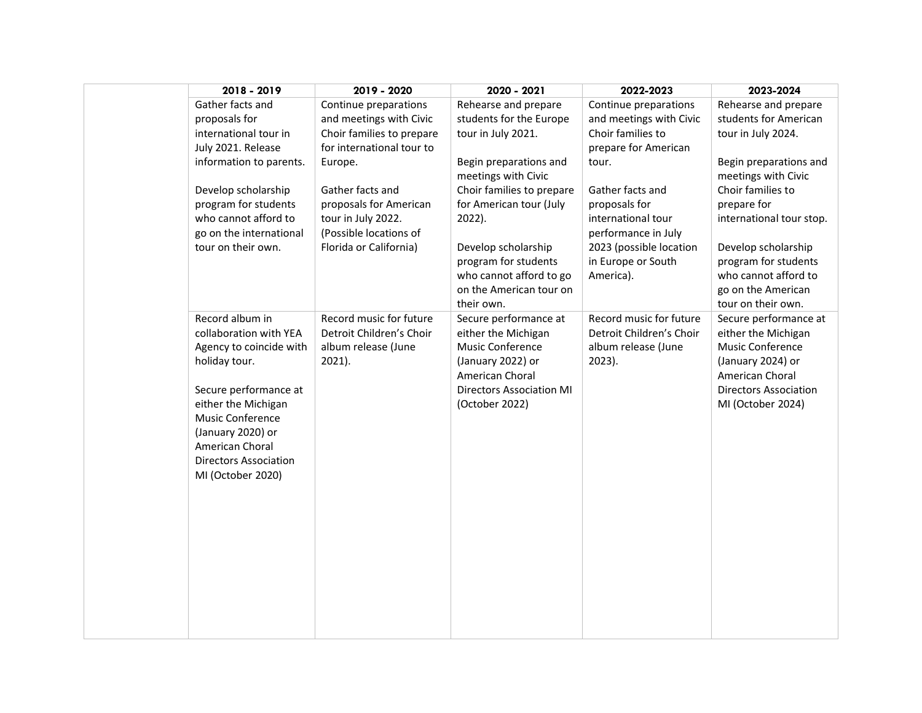| 2018 - 2019                                                                                                                                                                                                                                            | 2019 - 2020                                                                                                           | 2020 - 2021                                                                                                                                                   | 2022-2023                                                                                                 | 2023-2024                                                                                                                                                     |
|--------------------------------------------------------------------------------------------------------------------------------------------------------------------------------------------------------------------------------------------------------|-----------------------------------------------------------------------------------------------------------------------|---------------------------------------------------------------------------------------------------------------------------------------------------------------|-----------------------------------------------------------------------------------------------------------|---------------------------------------------------------------------------------------------------------------------------------------------------------------|
| Gather facts and<br>proposals for<br>international tour in<br>July 2021. Release<br>information to parents.                                                                                                                                            | Continue preparations<br>and meetings with Civic<br>Choir families to prepare<br>for international tour to<br>Europe. | Rehearse and prepare<br>students for the Europe<br>tour in July 2021.<br>Begin preparations and<br>meetings with Civic                                        | Continue preparations<br>and meetings with Civic<br>Choir families to<br>prepare for American<br>tour.    | Rehearse and prepare<br>students for American<br>tour in July 2024.<br>Begin preparations and<br>meetings with Civic                                          |
| Develop scholarship<br>program for students<br>who cannot afford to<br>go on the international<br>tour on their own.                                                                                                                                   | Gather facts and<br>proposals for American<br>tour in July 2022.<br>(Possible locations of<br>Florida or California)  | Choir families to prepare<br>for American tour (July<br>2022).<br>Develop scholarship                                                                         | Gather facts and<br>proposals for<br>international tour<br>performance in July<br>2023 (possible location | Choir families to<br>prepare for<br>international tour stop.<br>Develop scholarship                                                                           |
|                                                                                                                                                                                                                                                        |                                                                                                                       | program for students<br>who cannot afford to go<br>on the American tour on<br>their own.                                                                      | in Europe or South<br>America).                                                                           | program for students<br>who cannot afford to<br>go on the American<br>tour on their own.                                                                      |
| Record album in<br>collaboration with YEA<br>Agency to coincide with<br>holiday tour.<br>Secure performance at<br>either the Michigan<br>Music Conference<br>(January 2020) or<br>American Choral<br><b>Directors Association</b><br>MI (October 2020) | Record music for future<br>Detroit Children's Choir<br>album release (June<br>$2021$ ).                               | Secure performance at<br>either the Michigan<br>Music Conference<br>(January 2022) or<br>American Choral<br><b>Directors Association MI</b><br>(October 2022) | Record music for future<br>Detroit Children's Choir<br>album release (June<br>$2023$ ).                   | Secure performance at<br>either the Michigan<br>Music Conference<br>(January 2024) or<br>American Choral<br><b>Directors Association</b><br>MI (October 2024) |
|                                                                                                                                                                                                                                                        |                                                                                                                       |                                                                                                                                                               |                                                                                                           |                                                                                                                                                               |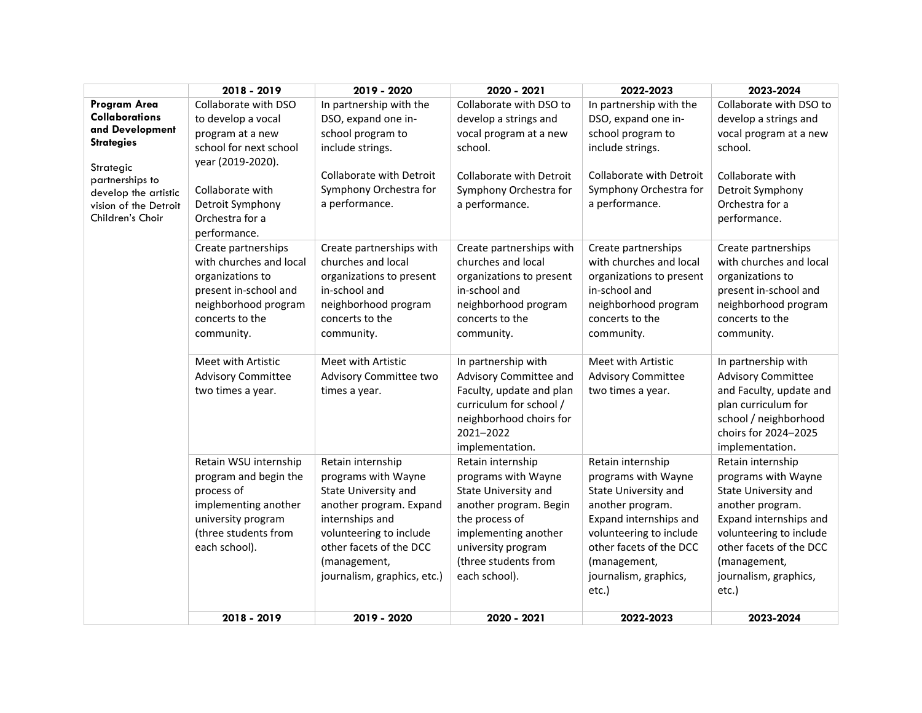|                                                                                                                                                                                    | 2018 - 2019                                                                                                                                                                              | 2019 - 2020                                                                                                                                                                                                         | 2020 - 2021                                                                                                                                                                                         | 2022-2023                                                                                                                                                                                                              | 2023-2024                                                                                                                                                                                                              |
|------------------------------------------------------------------------------------------------------------------------------------------------------------------------------------|------------------------------------------------------------------------------------------------------------------------------------------------------------------------------------------|---------------------------------------------------------------------------------------------------------------------------------------------------------------------------------------------------------------------|-----------------------------------------------------------------------------------------------------------------------------------------------------------------------------------------------------|------------------------------------------------------------------------------------------------------------------------------------------------------------------------------------------------------------------------|------------------------------------------------------------------------------------------------------------------------------------------------------------------------------------------------------------------------|
| Program Area<br><b>Collaborations</b><br>and Development<br><b>Strategies</b><br>Strategic<br>partnerships to<br>develop the artistic<br>vision of the Detroit<br>Children's Choir | Collaborate with DSO<br>to develop a vocal<br>program at a new<br>school for next school<br>year (2019-2020).<br>Collaborate with<br>Detroit Symphony<br>Orchestra for a<br>performance. | In partnership with the<br>DSO, expand one in-<br>school program to<br>include strings.<br><b>Collaborate with Detroit</b><br>Symphony Orchestra for<br>a performance.                                              | Collaborate with DSO to<br>develop a strings and<br>vocal program at a new<br>school.<br>Collaborate with Detroit<br>Symphony Orchestra for<br>a performance.                                       | In partnership with the<br>DSO, expand one in-<br>school program to<br>include strings.<br>Collaborate with Detroit<br>Symphony Orchestra for<br>a performance.                                                        | Collaborate with DSO to<br>develop a strings and<br>vocal program at a new<br>school.<br>Collaborate with<br>Detroit Symphony<br>Orchestra for a<br>performance.                                                       |
|                                                                                                                                                                                    | Create partnerships<br>with churches and local<br>organizations to<br>present in-school and<br>neighborhood program<br>concerts to the<br>community.                                     | Create partnerships with<br>churches and local<br>organizations to present<br>in-school and<br>neighborhood program<br>concerts to the<br>community.                                                                | Create partnerships with<br>churches and local<br>organizations to present<br>in-school and<br>neighborhood program<br>concerts to the<br>community.                                                | Create partnerships<br>with churches and local<br>organizations to present<br>in-school and<br>neighborhood program<br>concerts to the<br>community.                                                                   | Create partnerships<br>with churches and local<br>organizations to<br>present in-school and<br>neighborhood program<br>concerts to the<br>community.                                                                   |
|                                                                                                                                                                                    | Meet with Artistic<br><b>Advisory Committee</b><br>two times a year.                                                                                                                     | Meet with Artistic<br>Advisory Committee two<br>times a year.                                                                                                                                                       | In partnership with<br>Advisory Committee and<br>Faculty, update and plan<br>curriculum for school /<br>neighborhood choirs for<br>2021-2022<br>implementation.                                     | Meet with Artistic<br><b>Advisory Committee</b><br>two times a year.                                                                                                                                                   | In partnership with<br><b>Advisory Committee</b><br>and Faculty, update and<br>plan curriculum for<br>school / neighborhood<br>choirs for 2024-2025<br>implementation.                                                 |
|                                                                                                                                                                                    | Retain WSU internship<br>program and begin the<br>process of<br>implementing another<br>university program<br>(three students from<br>each school).                                      | Retain internship<br>programs with Wayne<br>State University and<br>another program. Expand<br>internships and<br>volunteering to include<br>other facets of the DCC<br>(management,<br>journalism, graphics, etc.) | Retain internship<br>programs with Wayne<br>State University and<br>another program. Begin<br>the process of<br>implementing another<br>university program<br>(three students from<br>each school). | Retain internship<br>programs with Wayne<br>State University and<br>another program.<br>Expand internships and<br>volunteering to include<br>other facets of the DCC<br>(management,<br>journalism, graphics,<br>etc.) | Retain internship<br>programs with Wayne<br>State University and<br>another program.<br>Expand internships and<br>volunteering to include<br>other facets of the DCC<br>(management,<br>journalism, graphics,<br>etc.) |
|                                                                                                                                                                                    | 2018 - 2019                                                                                                                                                                              | 2019 - 2020                                                                                                                                                                                                         | 2020 - 2021                                                                                                                                                                                         | 2022-2023                                                                                                                                                                                                              | 2023-2024                                                                                                                                                                                                              |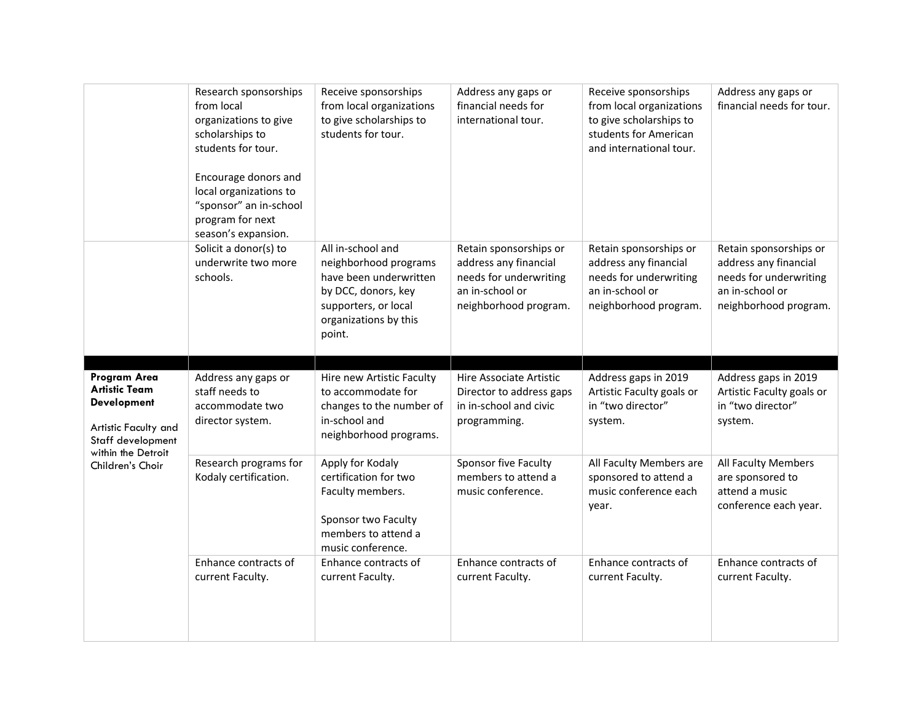|                                                            | Research sponsorships<br>from local<br>organizations to give<br>scholarships to<br>students for tour.<br>Encourage donors and<br>local organizations to<br>"sponsor" an in-school<br>program for next<br>season's expansion. | Receive sponsorships<br>from local organizations<br>to give scholarships to<br>students for tour.                                                        | Address any gaps or<br>financial needs for<br>international tour.                                                     | Receive sponsorships<br>from local organizations<br>to give scholarships to<br>students for American<br>and international tour. | Address any gaps or<br>financial needs for tour.                                                                      |
|------------------------------------------------------------|------------------------------------------------------------------------------------------------------------------------------------------------------------------------------------------------------------------------------|----------------------------------------------------------------------------------------------------------------------------------------------------------|-----------------------------------------------------------------------------------------------------------------------|---------------------------------------------------------------------------------------------------------------------------------|-----------------------------------------------------------------------------------------------------------------------|
|                                                            | Solicit a donor(s) to<br>underwrite two more<br>schools.                                                                                                                                                                     | All in-school and<br>neighborhood programs<br>have been underwritten<br>by DCC, donors, key<br>supporters, or local<br>organizations by this<br>point.   | Retain sponsorships or<br>address any financial<br>needs for underwriting<br>an in-school or<br>neighborhood program. | Retain sponsorships or<br>address any financial<br>needs for underwriting<br>an in-school or<br>neighborhood program.           | Retain sponsorships or<br>address any financial<br>needs for underwriting<br>an in-school or<br>neighborhood program. |
| Program Area<br><b>Artistic Team</b><br><b>Development</b> | Address any gaps or<br>staff needs to<br>accommodate two                                                                                                                                                                     | Hire new Artistic Faculty<br>to accommodate for<br>changes to the number of                                                                              | Hire Associate Artistic<br>Director to address gaps<br>in in-school and civic                                         | Address gaps in 2019<br>Artistic Faculty goals or<br>in "two director"                                                          | Address gaps in 2019<br>Artistic Faculty goals or<br>in "two director"                                                |
| Artistic Faculty and<br>Staff development                  | director system.                                                                                                                                                                                                             | in-school and                                                                                                                                            | programming.                                                                                                          | system.                                                                                                                         | system.                                                                                                               |
|                                                            |                                                                                                                                                                                                                              | neighborhood programs.                                                                                                                                   |                                                                                                                       |                                                                                                                                 |                                                                                                                       |
| within the Detroit<br>Children's Choir                     | Research programs for<br>Kodaly certification.<br>Enhance contracts of                                                                                                                                                       | Apply for Kodaly<br>certification for two<br>Faculty members.<br>Sponsor two Faculty<br>members to attend a<br>music conference.<br>Enhance contracts of | Sponsor five Faculty<br>members to attend a<br>music conference.                                                      | All Faculty Members are<br>sponsored to attend a<br>music conference each<br>year.<br>Enhance contracts of                      | All Faculty Members<br>are sponsored to<br>attend a music<br>conference each year.<br>Enhance contracts of            |